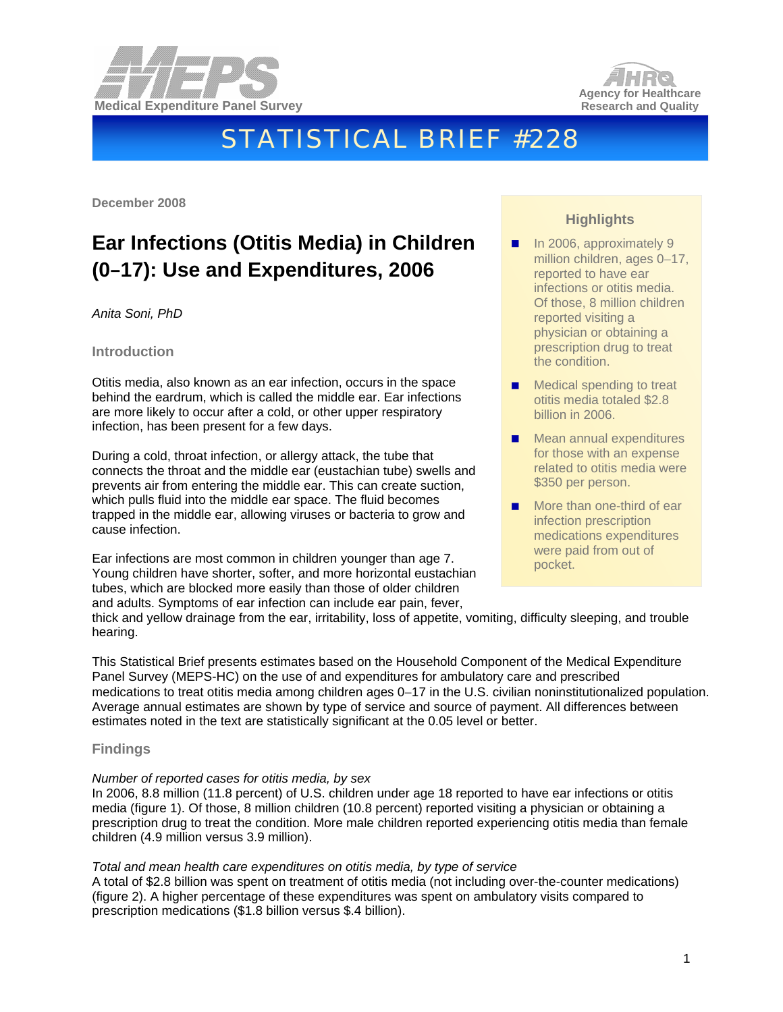



# STATISTICAL BRIEF #228

**December 2008** 

## **Ear Infections (Otitis Media) in Children (0**–**17): Use and Expenditures, 2006**

*Anita Soni, PhD* 

#### **Introduction**

Otitis media, also known as an ear infection, occurs in the space behind the eardrum, which is called the middle ear. Ear infections are more likely to occur after a cold, or other upper respiratory infection, has been present for a few days.

During a cold, throat infection, or allergy attack, the tube that connects the throat and the middle ear (eustachian tube) swells and prevents air from entering the middle ear. This can create suction, which pulls fluid into the middle ear space. The fluid becomes trapped in the middle ear, allowing viruses or bacteria to grow and cause infection.

Ear infections are most common in children younger than age 7. Young children have shorter, softer, and more horizontal eustachian tubes, which are blocked more easily than those of older children and adults. Symptoms of ear infection can include ear pain, fever,

### **Highlights**

- $\blacksquare$  In 2006, approximately 9 million children, ages 0−17, reported to have ear infections or otitis media. Of those, 8 million children reported visiting a physician or obtaining a prescription drug to treat the condition.
- Medical spending to treat otitis media totaled \$2.8 billion in 2006.
- Mean annual expenditures for those with an expense related to otitis media were \$350 per person.
- More than one-third of ear infection prescription medications expenditures were paid from out of pocket.

thick and yellow drainage from the ear, irritability, loss of appetite, vomiting, difficulty sleeping, and trouble hearing.

This Statistical Brief presents estimates based on the Household Component of the Medical Expenditure Panel Survey (MEPS-HC) on the use of and expenditures for ambulatory care and prescribed medications to treat otitis media among children ages 0−17 in the U.S. civilian noninstitutionalized population. Average annual estimates are shown by type of service and source of payment. All differences between estimates noted in the text are statistically significant at the 0.05 level or better.

#### **Findings**

#### *Number of reported cases for otitis media, by sex*

In 2006, 8.8 million (11.8 percent) of U.S. children under age 18 reported to have ear infections or otitis media (figure 1). Of those, 8 million children (10.8 percent) reported visiting a physician or obtaining a prescription drug to treat the condition. More male children reported experiencing otitis media than female children (4.9 million versus 3.9 million).

#### *Total and mean health care expenditures on otitis media, by type of service*

A total of \$2.8 billion was spent on treatment of otitis media (not including over-the-counter medications) (figure 2). A higher percentage of these expenditures was spent on ambulatory visits compared to prescription medications (\$1.8 billion versus \$.4 billion).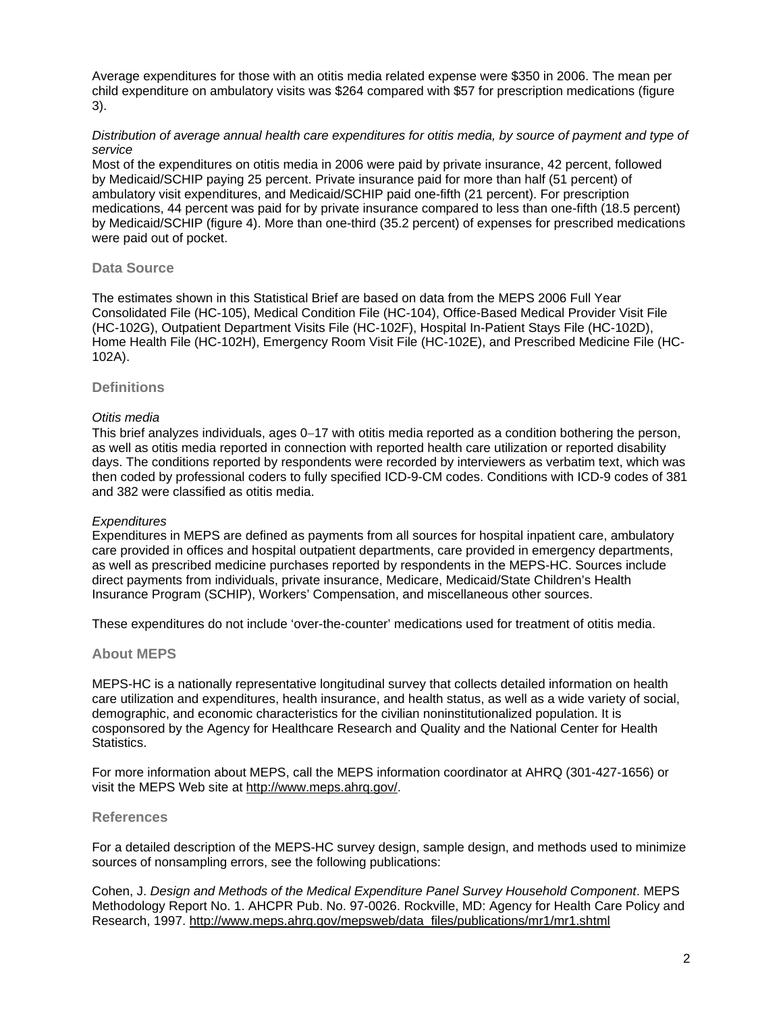Average expenditures for those with an otitis media related expense were \$350 in 2006. The mean per child expenditure on ambulatory visits was \$264 compared with \$57 for prescription medications (figure 3).

#### *Distribution of average annual health care expenditures for otitis media, by source of payment and type of service*

Most of the expenditures on otitis media in 2006 were paid by private insurance, 42 percent, followed by Medicaid/SCHIP paying 25 percent. Private insurance paid for more than half (51 percent) of ambulatory visit expenditures, and Medicaid/SCHIP paid one-fifth (21 percent). For prescription medications, 44 percent was paid for by private insurance compared to less than one-fifth (18.5 percent) by Medicaid/SCHIP (figure 4). More than one-third (35.2 percent) of expenses for prescribed medications were paid out of pocket.

#### **Data Source**

The estimates shown in this Statistical Brief are based on data from the MEPS 2006 Full Year Consolidated File (HC-105), Medical Condition File (HC-104), Office-Based Medical Provider Visit File (HC-102G), Outpatient Department Visits File (HC-102F), Hospital In-Patient Stays File (HC-102D), Home Health File (HC-102H), Emergency Room Visit File (HC-102E), and Prescribed Medicine File (HC-102A).

#### **Definitions**

#### *Otitis media*

This brief analyzes individuals, ages 0−17 with otitis media reported as a condition bothering the person, as well as otitis media reported in connection with reported health care utilization or reported disability days. The conditions reported by respondents were recorded by interviewers as verbatim text, which was then coded by professional coders to fully specified ICD-9-CM codes. Conditions with ICD-9 codes of 381 and 382 were classified as otitis media.

#### *Expenditures*

Expenditures in MEPS are defined as payments from all sources for hospital inpatient care, ambulatory care provided in offices and hospital outpatient departments, care provided in emergency departments, as well as prescribed medicine purchases reported by respondents in the MEPS-HC. Sources include direct payments from individuals, private insurance, Medicare, Medicaid/State Children's Health Insurance Program (SCHIP), Workers' Compensation, and miscellaneous other sources.

These expenditures do not include 'over-the-counter' medications used for treatment of otitis media.

#### **About MEPS**

MEPS-HC is a nationally representative longitudinal survey that collects detailed information on health care utilization and expenditures, health insurance, and health status, as well as a wide variety of social, demographic, and economic characteristics for the civilian noninstitutionalized population. It is cosponsored by the Agency for Healthcare Research and Quality and the National Center for Health Statistics.

For more information about MEPS, call the MEPS information coordinator at AHRQ (301-427-1656) or visit the MEPS Web site at [http://www.meps.ahrq.gov/.](http://www.meps.ahrq.gov/)

#### **References**

For a detailed description of the MEPS-HC survey design, sample design, and methods used to minimize sources of nonsampling errors, see the following publications:

Cohen, J. *Design and Methods of the Medical Expenditure Panel Survey Household Component*. MEPS Methodology Report No. 1. AHCPR Pub. No. 97-0026. Rockville, MD: Agency for Health Care Policy and Research, 1997. [http://www.meps.ahrq.gov/mepsweb/data\\_files/publications/mr1/mr1.shtml](http://www.meps.ahrq.gov/mepsweb/data_files/publications/mr1/mr1.shtml)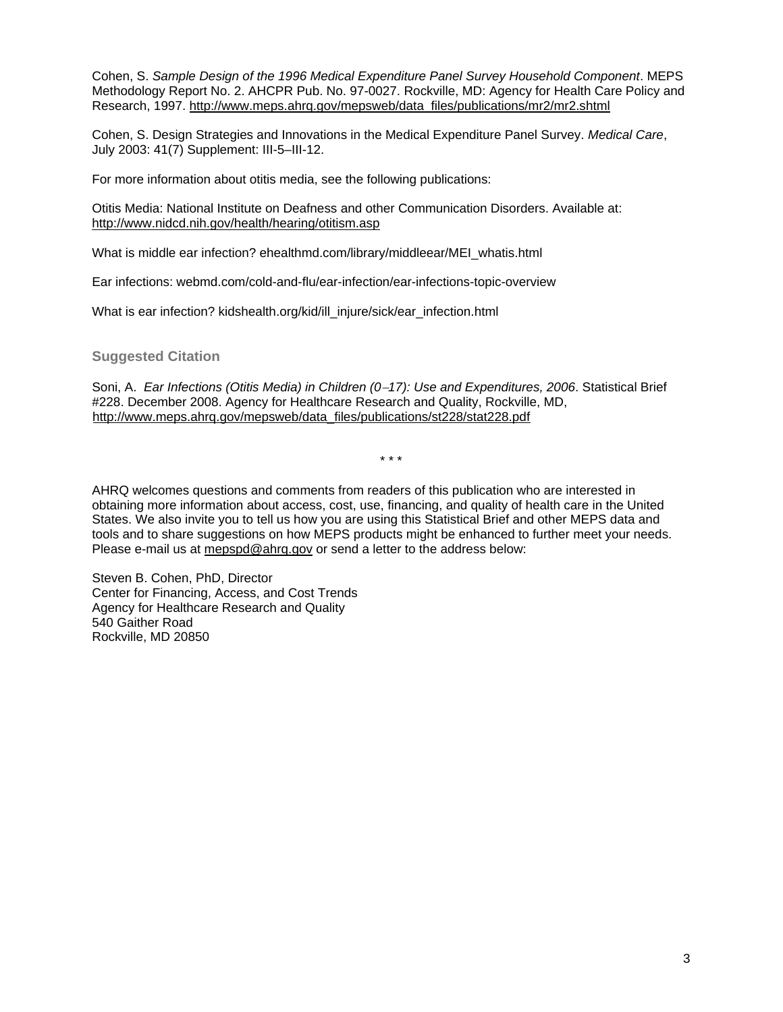Cohen, S. *Sample Design of the 1996 Medical Expenditure Panel Survey Household Component*. MEPS Methodology Report No. 2. AHCPR Pub. No. 97-0027. Rockville, MD: Agency for Health Care Policy and Research, 1997. [http://www.meps.ahrq.gov/mepsweb/data\\_files/publications/mr2/mr2.shtml](http://www.meps.ahrq.gov/mepsweb/data_files/publications/mr2/mr2.shtml)

Cohen, S. Design Strategies and Innovations in the Medical Expenditure Panel Survey. *Medical Care*, July 2003: 41(7) Supplement: III-5–III-12.

For more information about otitis media, see the following publications:

Otitis Media: National Institute on Deafness and other Communication Disorders. Available at: <http://www.nidcd.nih.gov/health/hearing/otitism.asp>

What is middle ear infection? ehealthmd.com/library/middleear/MEI\_whatis.html

Ear infections: webmd.com/cold-and-flu/ear-infection/ear-infections-topic-overview

What is ear infection? kidshealth.org/kid/ill\_injure/sick/ear\_infection.html

**Suggested Citation** 

Soni, A. *Ear Infections (Otitis Media) in Children (0*−*17): Use and Expenditures, 2006*. Statistical Brief #228. December 2008. Agency for Healthcare Research and Quality, Rockville, MD, [http://www.meps.ahrq.gov/](http://www.meps.ahrq.gov/mepsweb/data_files/publications/st228/stat228.pdf)mepsweb/data\_files/publications/st228/stat228.pdf

\* \* \*

AHRQ welcomes questions and comments from readers of this publication who are interested in obtaining more information about access, cost, use, financing, and quality of health care in the United States. We also invite you to tell us how you are using this Statistical Brief and other MEPS data and tools and to share suggestions on how MEPS products might be enhanced to further meet your needs. Please e-mail us at [mepspd@ahrq.gov](mailto:mepspd@ahrq.gov) or send a letter to the address below:

Steven B. Cohen, PhD, Director Center for Financing, Access, and Cost Trends Agency for Healthcare Research and Quality 540 Gaither Road Rockville, MD 20850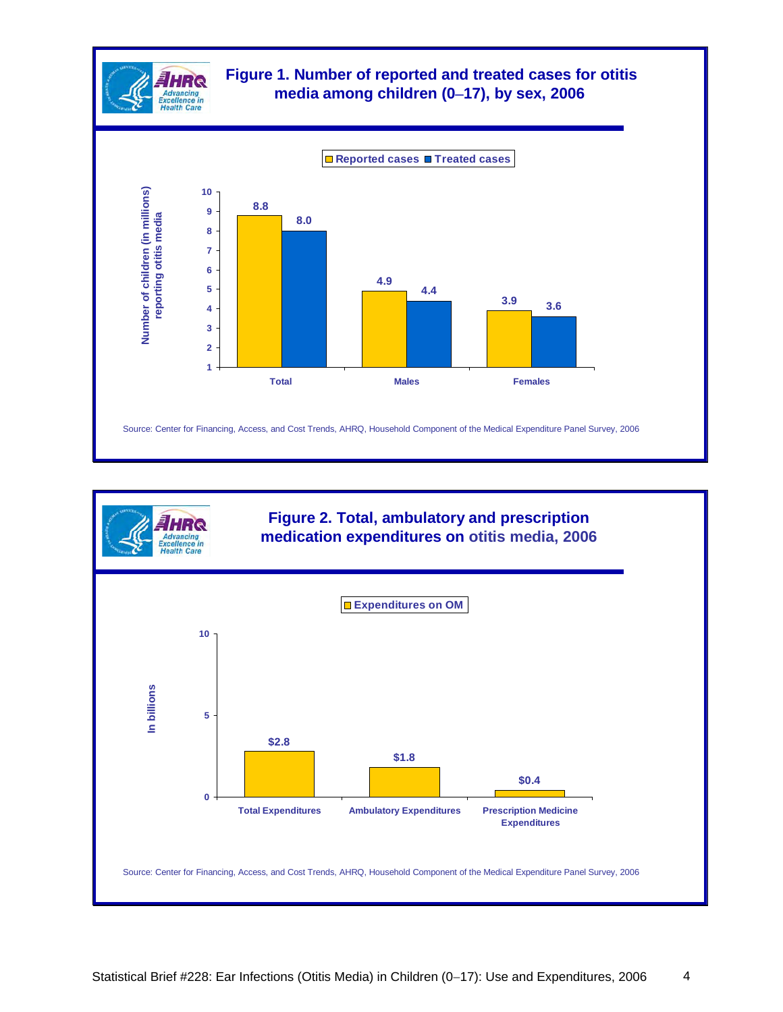